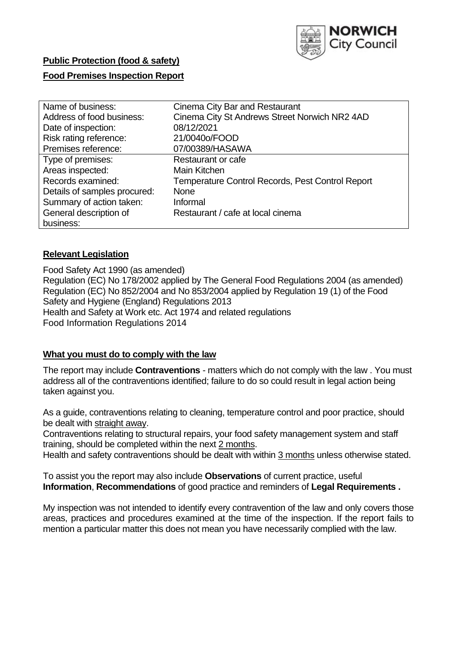

# **Public Protection (food & safety)**

## **Food Premises Inspection Report**

| Name of business:            | Cinema City Bar and Restaurant                   |
|------------------------------|--------------------------------------------------|
| Address of food business:    | Cinema City St Andrews Street Norwich NR2 4AD    |
| Date of inspection:          | 08/12/2021                                       |
| Risk rating reference:       | 21/0040o/FOOD                                    |
| Premises reference:          | 07/00389/HASAWA                                  |
| Type of premises:            | Restaurant or cafe                               |
| Areas inspected:             | Main Kitchen                                     |
| Records examined:            | Temperature Control Records, Pest Control Report |
| Details of samples procured: | <b>None</b>                                      |
| Summary of action taken:     | Informal                                         |
| General description of       | Restaurant / cafe at local cinema                |
| business:                    |                                                  |

### **Relevant Legislation**

 Food Safety Act 1990 (as amended) Regulation (EC) No 178/2002 applied by The General Food Regulations 2004 (as amended) Regulation (EC) No 852/2004 and No 853/2004 applied by Regulation 19 (1) of the Food Safety and Hygiene (England) Regulations 2013 Health and Safety at Work etc. Act 1974 and related regulations Food Information Regulations 2014

#### **What you must do to comply with the law**

 The report may include **Contraventions** - matters which do not comply with the law . You must address all of the contraventions identified; failure to do so could result in legal action being taken against you.

 As a guide, contraventions relating to cleaning, temperature control and poor practice, should be dealt with straight away.

 Contraventions relating to structural repairs, your food safety management system and staff training, should be completed within the next 2 months.

Health and safety contraventions should be dealt with within 3 months unless otherwise stated.

 To assist you the report may also include **Observations** of current practice, useful **Information**, **Recommendations** of good practice and reminders of **Legal Requirements .** 

 My inspection was not intended to identify every contravention of the law and only covers those areas, practices and procedures examined at the time of the inspection. If the report fails to mention a particular matter this does not mean you have necessarily complied with the law.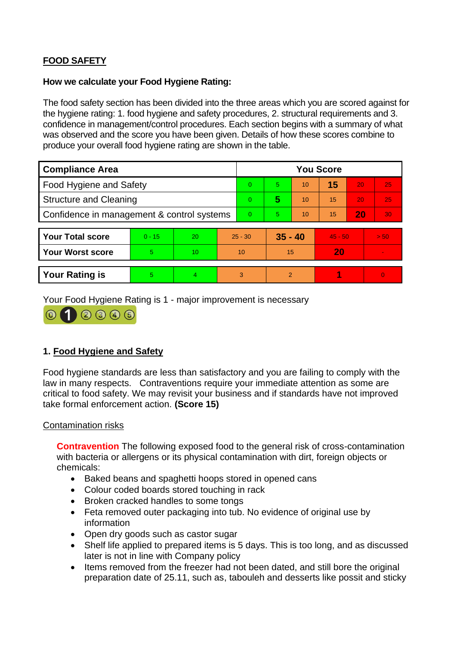# **FOOD SAFETY**

## **How we calculate your Food Hygiene Rating:**

 The food safety section has been divided into the three areas which you are scored against for the hygiene rating: 1. food hygiene and safety procedures, 2. structural requirements and 3. confidence in management/control procedures. Each section begins with a summary of what was observed and the score you have been given. Details of how these scores combine to produce your overall food hygiene rating are shown in the table.

| <b>Compliance Area</b>                     |          |                  |    | <b>You Score</b> |                |    |           |    |                |  |  |
|--------------------------------------------|----------|------------------|----|------------------|----------------|----|-----------|----|----------------|--|--|
| Food Hygiene and Safety                    |          |                  |    | $\Omega$         | 5              | 10 | 15        | 20 | 25             |  |  |
| <b>Structure and Cleaning</b>              |          |                  |    | $\Omega$         | 5              | 10 | 15        | 20 | 25             |  |  |
| Confidence in management & control systems |          |                  |    | $\Omega$         | 5              | 10 | 15        | 20 | 30             |  |  |
|                                            |          |                  |    |                  |                |    |           |    |                |  |  |
| <b>Your Total score</b>                    | $0 - 15$ | 20               |    | $25 - 30$        | $35 - 40$      |    | $45 - 50$ |    | > 50           |  |  |
| <b>Your Worst score</b>                    | 5        | 10 <sup>10</sup> | 10 |                  | 15             |    | 20        |    | $\blacksquare$ |  |  |
|                                            |          |                  |    |                  |                |    |           |    |                |  |  |
| <b>Your Rating is</b>                      | 5        | 4                | 3  |                  | $\overline{2}$ |    |           |    | $\overline{0}$ |  |  |

Your Food Hygiene Rating is 1 - major improvement is necessary



# **1. Food Hygiene and Safety**

 law in many respects. Contraventions require your immediate attention as some are Food hygiene standards are less than satisfactory and you are failing to comply with the critical to food safety. We may revisit your business and if standards have not improved take formal enforcement action. **(Score 15)** 

# Contamination risks

 **Contravention** The following exposed food to the general risk of cross-contamination with bacteria or allergens or its physical contamination with dirt, foreign objects or chemicals:

- Baked beans and spaghetti hoops stored in opened cans
- Colour coded boards stored touching in rack
- Broken cracked handles to some tongs
- Feta removed outer packaging into tub. No evidence of original use by information
- Open dry goods such as castor sugar
- • Shelf life applied to prepared items is 5 days. This is too long, and as discussed later is not in line with Company policy
- Items removed from the freezer had not been dated, and still bore the original preparation date of 25.11, such as, tabouleh and desserts like possit and sticky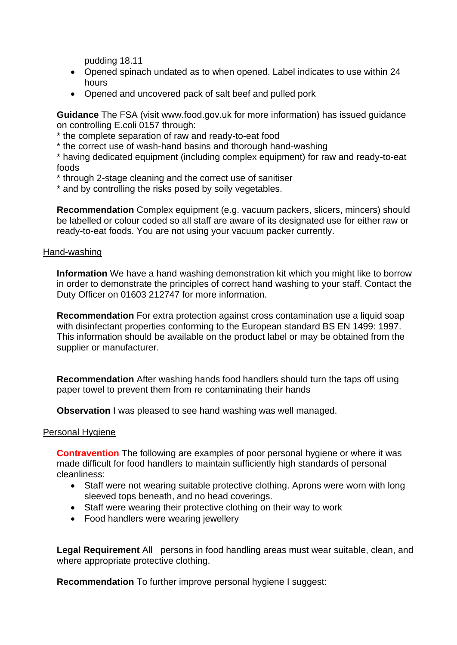pudding 18.11

- • Opened spinach undated as to when opened. Label indicates to use within 24 hours
- Opened and uncovered pack of salt beef and pulled pork

 **Guidance** The FSA (visit <www.food.gov.uk> for more information) has issued guidance on controlling E.coli 0157 through:

- \* the complete separation of raw and ready-to-eat food
- \* the correct use of wash-hand basins and thorough hand-washing

\* having dedicated equipment (including complex equipment) for raw and ready-to-eat foods

- \* through 2-stage cleaning and the correct use of sanitiser
- \* and by controlling the risks posed by soily vegetables.

**Recommendation** Complex equipment (e.g. vacuum packers, slicers, mincers) should be labelled or colour coded so all staff are aware of its designated use for either raw or ready-to-eat foods. You are not using your vacuum packer currently.

#### Hand-washing

 **Information** We have a hand washing demonstration kit which you might like to borrow Duty Officer on 01603 212747 for more information. in order to demonstrate the principles of correct hand washing to your staff. Contact the

 This information should be available on the product label or may be obtained from the **Recommendation** For extra protection against cross contamination use a liquid soap with disinfectant properties conforming to the European standard BS EN 1499: 1997. supplier or manufacturer.

 **Recommendation** After washing hands food handlers should turn the taps off using paper towel to prevent them from re contaminating their hands

**Observation** I was pleased to see hand washing was well managed.

#### Personal Hygiene

 made difficult for food handlers to maintain sufficiently high standards of personal **Contravention** The following are examples of poor personal hygiene or where it was cleanliness:

- sleeved tops beneath, and no head coverings. • Staff were not wearing suitable protective clothing. Aprons were worn with long
- Staff were wearing their protective clothing on their way to work
- Food handlers were wearing jewellery

 **Legal Requirement** All persons in food handling areas must wear suitable, clean, and where appropriate protective clothing.

**Recommendation** To further improve personal hygiene I suggest: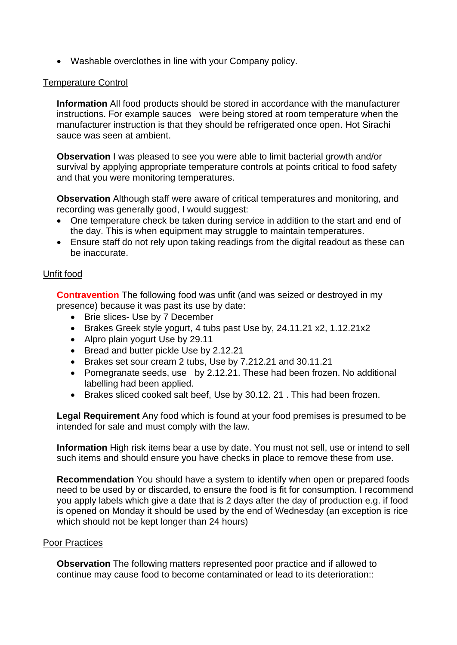• Washable overclothes in line with your Company policy.

## Temperature Control

 instructions. For example sauces were being stored at room temperature when the **Information** All food products should be stored in accordance with the manufacturer manufacturer instruction is that they should be refrigerated once open. Hot Sirachi sauce was seen at ambient.

**Observation I** was pleased to see you were able to limit bacterial growth and/or survival by applying appropriate temperature controls at points critical to food safety and that you were monitoring temperatures.

**Observation** Although staff were aware of critical temperatures and monitoring, and recording was generally good, I would suggest:

- One temperature check be taken during service in addition to the start and end of the day. This is when equipment may struggle to maintain temperatures.
- Ensure staff do not rely upon taking readings from the digital readout as these can be inaccurate.

# Unfit food

 presence) because it was past its use by date: **Contravention** The following food was unfit (and was seized or destroyed in my

- Brie slices- Use by 7 December
- Brakes Greek style yogurt, 4 tubs past Use by, [24.11.21](https://24.11.21) x2, 1.12.21x2
- Alpro plain yogurt Use by 29.11
- Bread and butter pickle Use by 2.12.21
- Brakes set sour cream 2 tubs, Use by [7.212.21](https://7.212.21) and [30.11.21](https://30.11.21)
- • Pomegranate seeds, use by 2.12.21. These had been frozen. No additional labelling had been applied.
- Brakes sliced cooked salt beef, Use by 30.12. 21 . This had been frozen.

**Legal Requirement** Any food which is found at your food premises is presumed to be intended for sale and must comply with the law.

**Information** High risk items bear a use by date. You must not sell, use or intend to sell such items and should ensure you have checks in place to remove these from use.

**Recommendation** You should have a system to identify when open or prepared foods need to be used by or discarded, to ensure the food is fit for consumption. I recommend you apply labels which give a date that is 2 days after the day of production e.g. if food is opened on Monday it should be used by the end of Wednesday (an exception is rice which should not be kept longer than 24 hours)

# Poor Practices

 **Observation** The following matters represented poor practice and if allowed to continue may cause food to become contaminated or lead to its deterioration::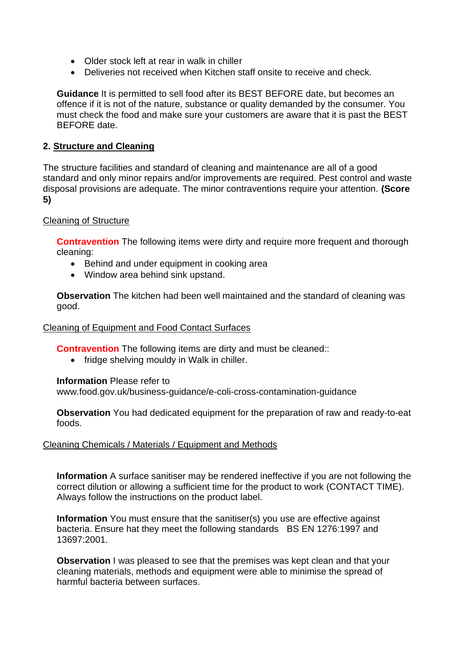- Older stock left at rear in walk in chiller
- Deliveries not received when Kitchen staff onsite to receive and check.

 must check the food and make sure your customers are aware that it is past the BEST **Guidance** It is permitted to sell food after its BEST BEFORE date, but becomes an offence if it is not of the nature, substance or quality demanded by the consumer. You BEFORE date.

# **2. Structure and Cleaning**

 The structure facilities and standard of cleaning and maintenance are all of a good standard and only minor repairs and/or improvements are required. Pest control and waste disposal provisions are adequate. The minor contraventions require your attention. **(Score 5)** 

# Cleaning of Structure

**Contravention** The following items were dirty and require more frequent and thorough cleaning:

- Behind and under equipment in cooking area
- Window area behind sink upstand.

 **Observation** The kitchen had been well maintained and the standard of cleaning was good.

# Cleaning of Equipment and Food Contact Surfaces

**Contravention** The following items are dirty and must be cleaned::

• fridge shelving mouldy in Walk in chiller.

#### **Information** Please refer to

<www.food.gov.uk/business-guidance/e-coli-cross-contamination-guidance>

 **Observation** You had dedicated equipment for the preparation of raw and ready-to-eat foods.

# Cleaning Chemicals / Materials / Equipment and Methods

**Information** A surface sanitiser may be rendered ineffective if you are not following the correct dilution or allowing a sufficient time for the product to work (CONTACT TIME). Always follow the instructions on the product label.

bacteria. Ensure hat they meet the following standards BS EN 1276:1997 and **Information** You must ensure that the sanitiser(s) you use are effective against 13697:2001.

**Observation** I was pleased to see that the premises was kept clean and that your cleaning materials, methods and equipment were able to minimise the spread of harmful bacteria between surfaces.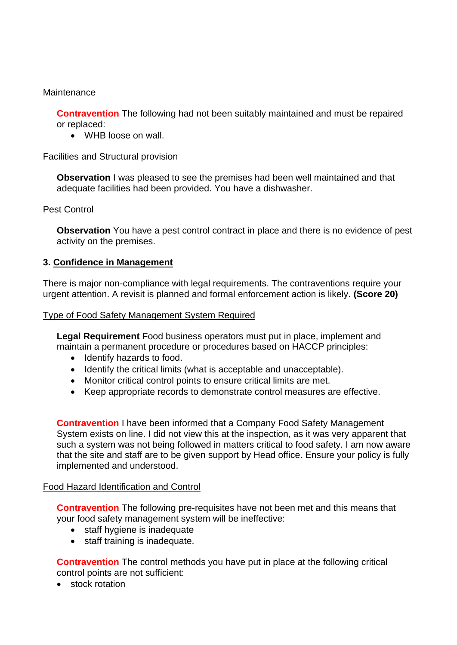## **Maintenance**

**Contravention** The following had not been suitably maintained and must be repaired or replaced:

• WHB loose on wall.

### Facilities and Structural provision

 **Observation** I was pleased to see the premises had been well maintained and that adequate facilities had been provided. You have a dishwasher.

### Pest Control

 **Observation** You have a pest control contract in place and there is no evidence of pest activity on the premises.

### **3. Confidence in Management**

There is major non-compliance with legal requirements. The contraventions require your urgent attention. A revisit is planned and formal enforcement action is likely. **(Score 20)** 

### Type of Food Safety Management System Required

 maintain a permanent procedure or procedures based on HACCP principles: **Legal Requirement** Food business operators must put in place, implement and

- Identify hazards to food.
- Identify the critical limits (what is acceptable and unacceptable).
- Monitor critical control points to ensure critical limits are met.
- Keep appropriate records to demonstrate control measures are effective.

 that the site and staff are to be given support by Head office. Ensure your policy is fully **Contravention** I have been informed that a Company Food Safety Management System exists on line. I did not view this at the inspection, as it was very apparent that such a system was not being followed in matters critical to food safety. I am now aware implemented and understood.

#### Food Hazard Identification and Control

**Contravention** The following pre-requisites have not been met and this means that your food safety management system will be ineffective:

- staff hygiene is inadequate
- staff training is inadequate.

 **Contravention** The control methods you have put in place at the following critical control points are not sufficient:

• stock rotation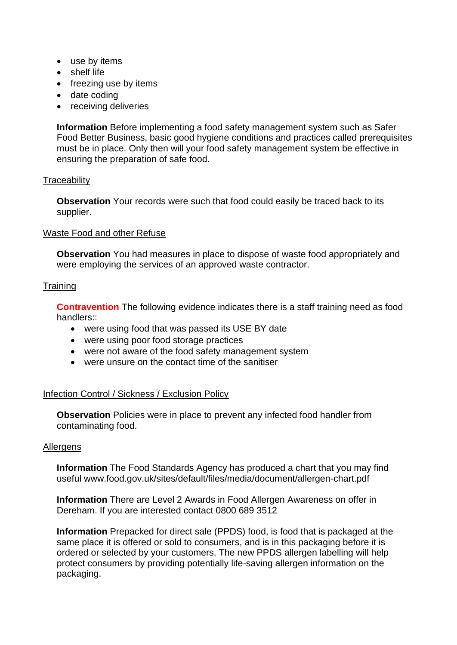- use by items
- shelf life
- freezing use by items
- date coding
- receiving deliveries

**Information** Before implementing a food safety management system such as Safer Food Better Business, basic good hygiene conditions and practices called prerequisites must be in place. Only then will your food safety management system be effective in ensuring the preparation of safe food.

### **Traceability**

**Observation** Your records were such that food could easily be traced back to its supplier.

### Waste Food and other Refuse

 **Observation** You had measures in place to dispose of waste food appropriately and were employing the services of an approved waste contractor.

# **Training**

 **Contravention** The following evidence indicates there is a staff training need as food handlers::

- were using food that was passed its USE BY date
- were using poor food storage practices
- were not aware of the food safety management system
- were unsure on the contact time of the sanitiser

# Infection Control / Sickness / Exclusion Policy

**Observation** Policies were in place to prevent any infected food handler from contaminating food.

#### **Allergens**

 **Information** The Food Standards Agency has produced a chart that you may find useful <www.food.gov.uk/sites/default/files/media/document/allergen-chart.pdf>

 Dereham. If you are interested contact 0800 689 3512 **Information** There are Level 2 Awards in Food Allergen Awareness on offer in

**Information** Prepacked for direct sale (PPDS) food, is food that is packaged at the same place it is offered or sold to consumers, and is in this packaging before it is ordered or selected by your customers. The new PPDS allergen labelling will help protect consumers by providing potentially life-saving allergen information on the packaging.